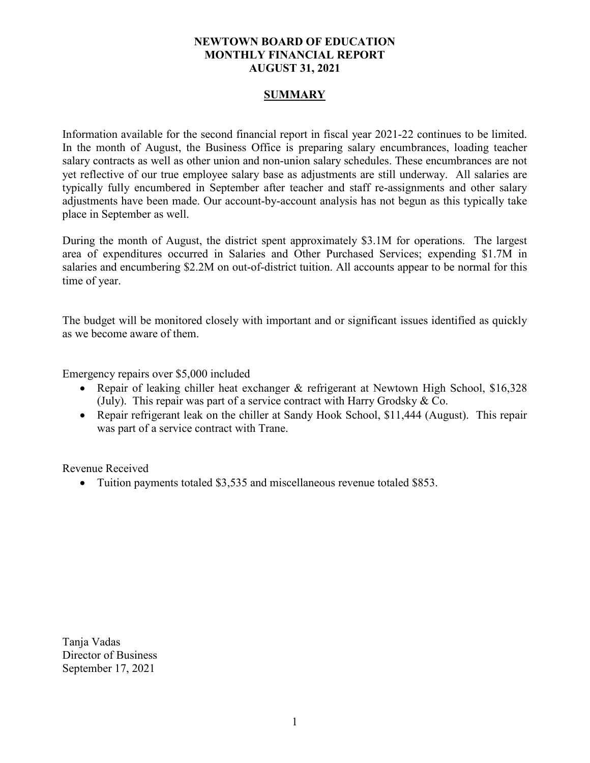# **NEWTOWN BOARD OF EDUCATION MONTHLY FINANCIAL REPORT AUGUST 31, 2021**

# **SUMMARY**

Information available for the second financial report in fiscal year 2021-22 continues to be limited. In the month of August, the Business Office is preparing salary encumbrances, loading teacher salary contracts as well as other union and non-union salary schedules. These encumbrances are not yet reflective of our true employee salary base as adjustments are still underway. All salaries are typically fully encumbered in September after teacher and staff re-assignments and other salary adjustments have been made. Our account-by-account analysis has not begun as this typically take place in September as well.

During the month of August, the district spent approximately \$3.1M for operations. The largest area of expenditures occurred in Salaries and Other Purchased Services; expending \$1.7M in salaries and encumbering \$2.2M on out-of-district tuition. All accounts appear to be normal for this time of year.

The budget will be monitored closely with important and or significant issues identified as quickly as we become aware of them.

Emergency repairs over \$5,000 included

- Repair of leaking chiller heat exchanger & refrigerant at Newtown High School, \$16,328 (July). This repair was part of a service contract with Harry Grodsky & Co.
- Repair refrigerant leak on the chiller at Sandy Hook School, \$11,444 (August). This repair was part of a service contract with Trane.

Revenue Received

• Tuition payments totaled \$3,535 and miscellaneous revenue totaled \$853.

Tanja Vadas Director of Business September 17, 2021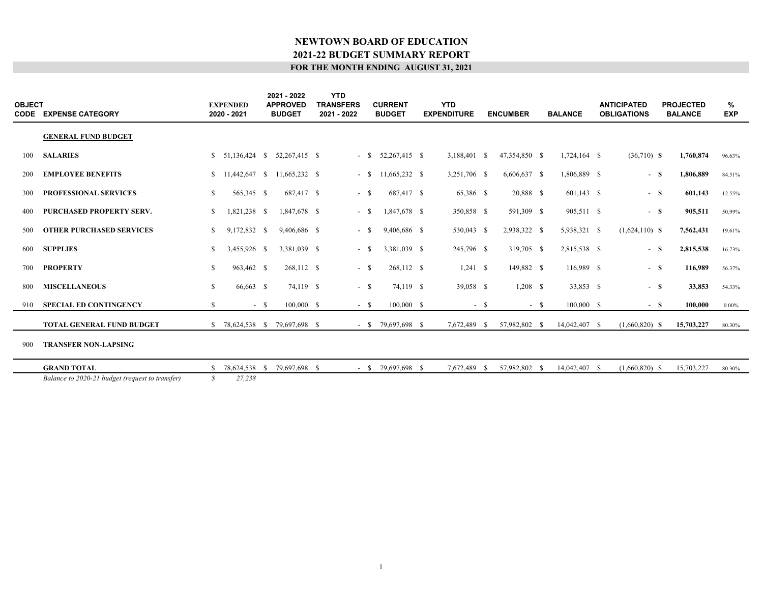| <b>OBJECT</b> | <b>CODE EXPENSE CATEGORY</b>                    |              | <b>EXPENDED</b><br>2020 - 2021 |       | 2021 - 2022<br><b>APPROVED</b><br><b>BUDGET</b> | <b>YTD</b><br><b>TRANSFERS</b><br>2021 - 2022 | <b>CURRENT</b><br><b>BUDGET</b> | <b>YTD</b><br><b>EXPENDITURE</b> |        | <b>ENCUMBER</b> |       | <b>BALANCE</b> | <b>ANTICIPATED</b><br><b>OBLIGATIONS</b> | <b>PROJECTED</b><br><b>BALANCE</b> |            | %<br><b>EXP</b> |
|---------------|-------------------------------------------------|--------------|--------------------------------|-------|-------------------------------------------------|-----------------------------------------------|---------------------------------|----------------------------------|--------|-----------------|-------|----------------|------------------------------------------|------------------------------------|------------|-----------------|
|               | <b>GENERAL FUND BUDGET</b>                      |              |                                |       |                                                 |                                               |                                 |                                  |        |                 |       |                |                                          |                                    |            |                 |
| 100           | <b>SALARIES</b>                                 |              |                                |       | $$51,136,424$ $$52,267,415$ $$$                 | $-$ \$                                        | 52,267,415 \$                   | 3,188,401 \$                     |        | 47,354,850 \$   |       | $1,724,164$ \$ | $(36,710)$ <b>S</b>                      |                                    | 1,760,874  | 96.63%          |
| 200           | <b>EMPLOYEE BENEFITS</b>                        |              |                                |       | $$11,442,647$ $$11,665,232$ $$$                 | $-$ \$                                        | 11,665,232 \$                   | 3,251,706 \$                     |        | 6,606,637 \$    |       | 1,806,889 \$   | $-$ \$                                   |                                    | 1,806,889  | 84.51%          |
| 300           | PROFESSIONAL SERVICES                           | \$           | 565,345 \$                     |       | 687,417 \$                                      | $-$ \$                                        | 687,417 \$                      | 65,386 \$                        |        | 20,888 \$       |       | $601,143$ \$   | $-$ \$                                   |                                    | 601,143    | 12.55%          |
| 400           | PURCHASED PROPERTY SERV.                        | \$           | 1,821,238 \$                   |       | 1,847,678 \$                                    | $-$ \$                                        | 1,847,678 \$                    | 350,858 \$                       |        | 591,309 \$      |       | 905,511 \$     | $-$ \$                                   |                                    | 905,511    | 50.99%          |
| 500           | <b>OTHER PURCHASED SERVICES</b>                 | S.           | 9,172,832 \$                   |       | 9,406,686 \$                                    | - \$                                          | 9,406,686 \$                    | 530,043 \$                       |        | 2,938,322 \$    |       | 5,938,321 \$   | $(1,624,110)$ \$                         |                                    | 7,562,431  | 19.61%          |
| 600           | <b>SUPPLIES</b>                                 | S.           | 3,455,926 \$                   |       | 3,381,039 \$                                    | - \$                                          | 3,381,039 \$                    | 245,796 \$                       |        | 319,705 \$      |       | 2,815,538 \$   | $-$ \$                                   |                                    | 2,815,538  | 16.73%          |
| 700           | <b>PROPERTY</b>                                 | S.           | 963,462 \$                     |       | 268,112 \$                                      | $- S$                                         | 268,112 \$                      | $1,241 \quad$ \$                 |        | 149,882 \$      |       | 116,989 \$     | $-$ \$                                   |                                    | 116,989    | 56.37%          |
| 800           | <b>MISCELLANEOUS</b>                            | $\mathbb{S}$ | 66,663 \$                      |       | 74,119 \$                                       | $-$ \$                                        | 74,119 \$                       | 39,058 \$                        |        | $1,208$ \$      |       | 33,853 \$      | $-$ \$                                   |                                    | 33,853     | 54.33%          |
| 910           | <b>SPECIAL ED CONTINGENCY</b>                   | S.           |                                | $- S$ | $100,000$ \$                                    | $-$ \$                                        | 100,000 \$                      |                                  | $-$ \$ |                 | $- S$ | 100,000 S      | $-$ \$                                   |                                    | 100,000    | $0.00\%$        |
|               | <b>TOTAL GENERAL FUND BUDGET</b>                | S.           | 78,624,538 \$                  |       | 79,697,698 \$                                   |                                               | $-$ \$ 79,697,698 \$            | 7,672,489 \$                     |        | 57,982,802 \$   |       | 14,042,407 \$  | $(1,660,820)$ \$                         |                                    | 15,703,227 | 80.30%          |
| 900           | <b>TRANSFER NON-LAPSING</b>                     |              |                                |       |                                                 |                                               |                                 |                                  |        |                 |       |                |                                          |                                    |            |                 |
|               | <b>GRAND TOTAL</b>                              | S.           | 78,624,538 \$                  |       | 79,697,698 \$                                   |                                               | $-$ \$ 79,697,698 \$            | 7,672,489                        | -8     | 57,982,802 \$   |       | 14,042,407 \$  | $(1,660,820)$ \$                         |                                    | 15,703,227 | 80.30%          |
|               | Balance to 2020-21 budget (request to transfer) | S            | 27,238                         |       |                                                 |                                               |                                 |                                  |        |                 |       |                |                                          |                                    |            |                 |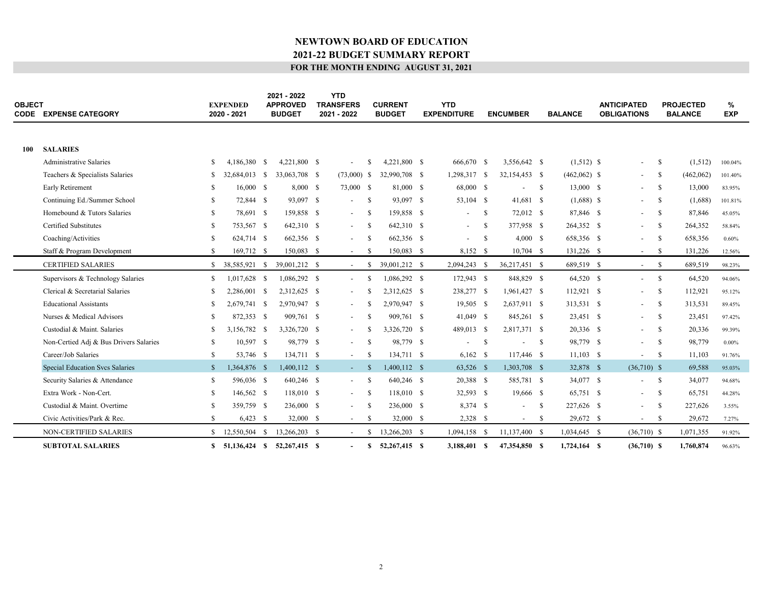| <b>OBJECT</b> | <b>CODE EXPENSE CATEGORY</b>           |              | <b>EXPENDED</b><br>2020 - 2021 | 2021 - 2022<br><b>APPROVED</b><br><b>BUDGET</b> | <b>YTD</b><br><b>TRANSFERS</b><br>2021 - 2022 |               | <b>CURRENT</b><br><b>BUDGET</b> | <b>YTD</b><br><b>EXPENDITURE</b> |               | <b>ENCUMBER</b>          |      | <b>BALANCE</b> | <b>ANTICIPATED</b><br><b>OBLIGATIONS</b> |               | <b>PROJECTED</b><br><b>BALANCE</b> | $\%$<br><b>EXP</b> |
|---------------|----------------------------------------|--------------|--------------------------------|-------------------------------------------------|-----------------------------------------------|---------------|---------------------------------|----------------------------------|---------------|--------------------------|------|----------------|------------------------------------------|---------------|------------------------------------|--------------------|
| 100           | <b>SALARIES</b>                        |              |                                |                                                 |                                               |               |                                 |                                  |               |                          |      |                |                                          |               |                                    |                    |
|               | <b>Administrative Salaries</b>         | S.           | 4,186,380 \$                   | 4,221,800 \$                                    | $\overline{\phantom{a}}$                      | -S            | 4.221,800 \$                    | 666,670 \$                       |               | 3,556,642 \$             |      | $(1,512)$ \$   | $\overline{\phantom{0}}$                 | -S            | (1,512)                            | 100.04%            |
|               | Teachers & Specialists Salaries        | S.           | 32,684,013 \$                  | 33,063,708 \$                                   | $(73,000)$ \$                                 |               | 32,990,708 \$                   | 1,298,317 \$                     |               | 32,154,453 \$            |      | $(462,062)$ \$ | $\sim$                                   | -S            | (462,062)                          | 101.40%            |
|               | Early Retirement                       | S            | $16,000$ \$                    | 8,000 S                                         | 73,000 \$                                     |               | 81,000 \$                       | 68,000 \$                        |               |                          | - S  | 13,000 \$      | $\sim$                                   | -S            | 13,000                             | 83.95%             |
|               | Continuing Ed./Summer School           | \$           | 72,844 \$                      | 93,097 \$                                       | $\overline{\phantom{a}}$                      | -S            | 93,097 \$                       | 53,104 \$                        |               | 41,681 \$                |      | $(1,688)$ \$   | $\overline{\phantom{0}}$                 | <sup>\$</sup> | (1,688)                            | 101.81%            |
|               | Homebound & Tutors Salaries            | S.           | 78,691 \$                      | 159,858 \$                                      | $\overline{\phantom{a}}$                      | -S            | 159,858 \$                      | $\overline{\phantom{0}}$         | -S            | 72,012 \$                |      | 87,846 \$      | $\sim$                                   | - S           | 87,846                             | 45.05%             |
|               | <b>Certified Substitutes</b>           | S            | 753,567 \$                     | 642,310 \$                                      | $\overline{\phantom{a}}$                      | -S            | 642,310 \$                      |                                  | <sup>\$</sup> | 377,958 \$               |      | 264,352 \$     | $\overline{\phantom{a}}$                 | -S            | 264,352                            | 58.84%             |
|               | Coaching/Activities                    | S.           | 624,714 \$                     | 662,356 \$                                      | $\overline{\phantom{a}}$                      | <sup>S</sup>  | 662,356 \$                      | $\overline{\phantom{a}}$         | <sup>\$</sup> | 4,000 S                  |      | 658,356 \$     | $\overline{\phantom{a}}$                 | -S            | 658,356                            | 0.60%              |
|               | Staff & Program Development            | S.           | 169,712 \$                     | 150,083 \$                                      | $\overline{\phantom{a}}$                      | -S            | 150,083 \$                      | 8,152 \$                         |               | $10,704$ \$              |      | 131,226 \$     | $\sim$                                   | - \$          | 131,226                            | 12.56%             |
|               | <b>CERTIFIED SALARIES</b>              | \$           | 38,585,921 \$                  | 39,001,212 \$                                   | $\sim$                                        | <sup>\$</sup> | 39,001,212 \$                   | 2,094,243                        | - \$          | 36,217,451 \$            |      | 689,519 \$     | $\sim$                                   | -S            | 689,519                            | 98.23%             |
|               | Supervisors & Technology Salaries      | \$           | 1,017,628 \$                   | 1,086,292 \$                                    | $\overline{\phantom{a}}$                      | -S            | 1,086,292 \$                    | 172,943 \$                       |               | 848,829 \$               |      | 64,520 \$      | $\sim$                                   | - S           | 64,520                             | 94.06%             |
|               | Clerical & Secretarial Salaries        | S            | 2,286,001 \$                   | 2,312,625 \$                                    |                                               |               | 2,312,625 \$                    | 238,277 \$                       |               | 1,961,427 \$             |      | 112,921 \$     | $\overline{\phantom{0}}$                 | <sup>\$</sup> | 112,921                            | 95.12%             |
|               | <b>Educational Assistants</b>          | S            | 2.679.741 \$                   | 2.970.947 \$                                    | $\overline{\phantom{a}}$                      |               | 2.970.947 \$                    | $19,505$ \$                      |               | 2,637,911 \$             |      | 313,531 \$     | $\sim$                                   | - S           | 313,531                            | 89.45%             |
|               | Nurses & Medical Advisors              | S            | 872.353 \$                     | 909.761 \$                                      |                                               | -8            | 909.761 \$                      | 41,049 \$                        |               | 845,261 \$               |      | 23.451 \$      | $\sim$                                   | -S            | 23,451                             | 97.42%             |
|               | Custodial & Maint, Salaries            | S.           | 3.156.782 \$                   | 3,326,720 \$                                    |                                               |               | 3,326,720 \$                    | 489,013 \$                       |               | 2,817,371 \$             |      | 20,336 \$      | $\overline{\phantom{0}}$                 | -S            | 20,336                             | 99.39%             |
|               | Non-Certied Adj & Bus Drivers Salaries | \$           | $10,597$ \$                    | 98,779 \$                                       | $\overline{\phantom{a}}$                      | -S            | 98,779 \$                       |                                  | <sup>\$</sup> |                          | - S  | 98,779 \$      | $\sim$                                   | - S           | 98,779                             | $0.00\%$           |
|               | Career/Job Salaries                    | \$           | 53,746 \$                      | 134,711 \$                                      | $\overline{\phantom{a}}$                      | -S            | 134,711 \$                      | $6,162$ \$                       |               | 117,446 \$               |      | $11,103$ \$    | $\overline{\phantom{a}}$                 | - S           | 11,103                             | 91.76%             |
|               | Special Education Svcs Salaries        | $\mathbb{S}$ | 1,364,876 \$                   | $1,400,112$ \$                                  | $\sim$                                        | -\$           | $1,400,112$ \$                  | 63,526 \$                        |               | 1,303,708 \$             |      | 32,878 \$      | $(36,710)$ \$                            |               | 69,588                             | 95.03%             |
|               | Security Salaries & Attendance         | \$           | 596,036 \$                     | 640,246 \$                                      | $\overline{\phantom{a}}$                      | -S            | 640,246 \$                      | 20,388 \$                        |               | 585,781 \$               |      | 34,077 \$      | $\overline{\phantom{a}}$                 | - S           | 34,077                             | 94.68%             |
|               | Extra Work - Non-Cert.                 | \$           | 146,562 \$                     | 118,010 \$                                      | $\overline{\phantom{a}}$                      | -S            | 118,010 \$                      | 32,593 \$                        |               | 19,666 \$                |      | 65,751 \$      | $ \,$                                    | -S            | 65,751                             | 44.28%             |
|               | Custodial & Maint. Overtime            | S            | 359,759 \$                     | 236,000 \$                                      | $\overline{\phantom{a}}$                      | -S            | 236,000 \$                      | 8,374 \$                         |               | $\overline{\phantom{a}}$ | - \$ | 227,626 \$     | $\sim$                                   | - S           | 227,626                            | 3.55%              |
|               | Civic Activities/Park & Rec.           | S.           | $6,423$ \$                     | 32,000 \$                                       | $\sim$                                        | -S            | 32,000 \$                       | $2,328$ \$                       |               | $\sim$                   | - \$ | 29,672 \$      | $\overline{\phantom{a}}$                 | - \$          | 29,672                             | 7.27%              |
|               | NON-CERTIFIED SALARIES                 | S            | 12,550,504 \$                  | 13,266,203 \$                                   | $\overline{\phantom{a}}$                      |               | 13,266,203 \$                   | 1,094,158 \$                     |               | 11,137,400 \$            |      | 1,034,645 \$   | $(36,710)$ \$                            |               | 1,071,355                          | 91.92%             |
|               | <b>SUBTOTAL SALARIES</b>               |              | \$ 51,136,424 \$ 52,267,415 \$ |                                                 | $\overline{\phantom{a}}$                      | S.            | 52,267,415 \$                   | 3,188,401 \$                     |               | 47,354,850 \$            |      | $1,724,164$ \$ | $(36,710)$ \$                            |               | 1,760,874                          | 96.63%             |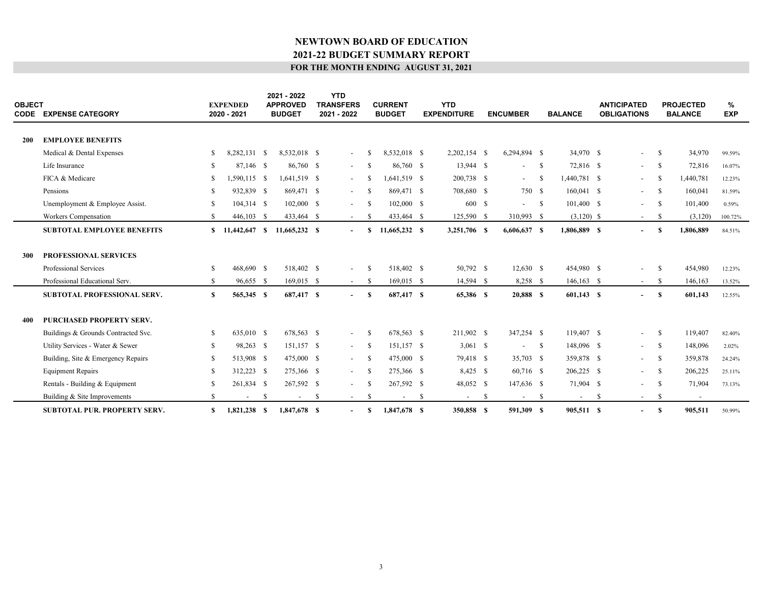| OBJECT     | <b>CODE EXPENSE CATEGORY</b>        |     | <b>EXPENDED</b><br>2020 - 2021 |    | 2021 - 2022<br><b>APPROVED</b><br><b>BUDGET</b> |    | <b>YTD</b><br><b>TRANSFERS</b><br>2021 - 2022 |               | <b>CURRENT</b><br><b>BUDGET</b> |    | <b>YTD</b><br><b>EXPENDITURE</b> |      | <b>ENCUMBER</b>          |              | <b>BALANCE</b> |      | <b>ANTICIPATED</b><br><b>OBLIGATIONS</b> |              | <b>PROJECTED</b><br><b>BALANCE</b> | %<br><b>EXP</b> |
|------------|-------------------------------------|-----|--------------------------------|----|-------------------------------------------------|----|-----------------------------------------------|---------------|---------------------------------|----|----------------------------------|------|--------------------------|--------------|----------------|------|------------------------------------------|--------------|------------------------------------|-----------------|
| <b>200</b> | <b>EMPLOYEE BENEFITS</b>            |     |                                |    |                                                 |    |                                               |               |                                 |    |                                  |      |                          |              |                |      |                                          |              |                                    |                 |
|            | Medical & Dental Expenses           | \$  | 8,282,131 \$                   |    | 8,532,018 \$                                    |    | $\overline{\phantom{a}}$                      | -S            | 8,532,018 \$                    |    | $2,202,154$ \$                   |      | 6,294,894 \$             |              | 34,970 \$      |      | $\overline{\phantom{a}}$                 | -S           | 34,970                             | 99.59%          |
|            | Life Insurance                      | S.  | 87,146 \$                      |    | 86,760 \$                                       |    | $\overline{\phantom{a}}$                      | -S            | 86,760 \$                       |    | 13,944 \$                        |      | $\overline{\phantom{0}}$ | $\mathbf{s}$ | 72,816 \$      |      | $\sim$                                   | -S           | 72,816                             | 16.07%          |
|            | FICA & Medicare                     | S   | 1,590,115 \$                   |    | 1,641,519 \$                                    |    | $\overline{\phantom{a}}$                      | -S            | 1,641,519 \$                    |    | 200,738 \$                       |      | $\sim$                   | -S           | 1,440,781 \$   |      | $\sim$                                   | -S           | 1,440,781                          | 12.23%          |
|            | Pensions                            | S   | 932,839 \$                     |    | 869,471 \$                                      |    | $\overline{\phantom{a}}$                      | -S            | 869,471 \$                      |    | 708,680 \$                       |      | 750 \$                   |              | $160,041$ \$   |      | $\sim$                                   | -S           | 160,041                            | 81.59%          |
|            | Unemployment & Employee Assist.     | S   | 104,314 \$                     |    | $102,000$ \$                                    |    |                                               | -S            | $102,000$ \$                    |    | 600 \$                           |      | $- S$                    |              | 101,400 \$     |      |                                          | -S           | 101,400                            | 0.59%           |
|            | Workers Compensation                | S.  | 446,103 \$                     |    | 433,464 \$                                      |    | $\overline{\phantom{a}}$                      | -S            | 433,464 \$                      |    | 125,590 \$                       |      | 310,993 \$               |              | $(3,120)$ \$   |      | $\sim$                                   | -S           | (3,120)                            | 100.72%         |
|            | <b>SUBTOTAL EMPLOYEE BENEFITS</b>   | S.  | 11,442,647 \$                  |    | 11,665,232 \$                                   |    | $\overline{\phantom{a}}$                      | s             | 11,665,232 \$                   |    | 3,251,706 \$                     |      | $6,606,637$ \$           |              | 1,806,889 \$   |      | $\overline{\phantom{a}}$                 | -8           | 1,806,889                          | 84.51%          |
| <b>300</b> | <b>PROFESSIONAL SERVICES</b>        |     |                                |    |                                                 |    |                                               |               |                                 |    |                                  |      |                          |              |                |      |                                          |              |                                    |                 |
|            | Professional Services               | S.  | 468,690 \$                     |    | 518,402 \$                                      |    | $\overline{\phantom{a}}$                      | -S            | 518,402 \$                      |    | 50,792 \$                        |      | $12,630$ \$              |              | 454,980 \$     |      | $\overline{\phantom{a}}$                 | -S           | 454,980                            | 12.23%          |
|            | Professional Educational Serv.      | \$  | 96,655 \$                      |    | $169,015$ \$                                    |    | $\sim$                                        | -S            | $169,015$ \$                    |    | 14,594 \$                        |      | 8,258 \$                 |              | $146, 163$ \$  |      | $\sim$                                   | -S           | 146,163                            | 13.52%          |
|            | <b>SUBTOTAL PROFESSIONAL SERV.</b>  | \$  | 565,345 \$                     |    | 687,417 \$                                      |    | $\blacksquare$                                | S             | 687,417 \$                      |    | 65,386 \$                        |      | 20,888 S                 |              | $601,143$ \$   |      | $\blacksquare$                           | <sup>S</sup> | 601,143                            | 12.55%          |
| 400        | PURCHASED PROPERTY SERV.            |     |                                |    |                                                 |    |                                               |               |                                 |    |                                  |      |                          |              |                |      |                                          |              |                                    |                 |
|            | Buildings & Grounds Contracted Svc. | \$  | 635,010 \$                     |    | 678,563 \$                                      |    | $\overline{\phantom{a}}$                      | -S            | 678.563 \$                      |    | 211,902 \$                       |      | 347,254 \$               |              | 119,407 \$     |      | $\sim$                                   | -S           | 119,407                            | 82.40%          |
|            | Utility Services - Water & Sewer    | S.  | 98,263 \$                      |    | 151,157 \$                                      |    | $\sim$                                        | -S            | 151,157 \$                      |    | $3,061$ \$                       |      | $\overline{\phantom{a}}$ | $^{\circ}$   | 148,096 \$     |      | $\sim$                                   | -S           | 148,096                            | 2.02%           |
|            | Building, Site & Emergency Repairs  | \$  | 513,908 \$                     |    | 475,000 \$                                      |    | $\sim$                                        | -S            | 475,000 \$                      |    | 79,418 \$                        |      | 35,703 \$                |              | 359,878 \$     |      | $\sim$                                   | -S           | 359,878                            | 24.24%          |
|            | <b>Equipment Repairs</b>            | \$. | 312,223 \$                     |    | 275,366 \$                                      |    | $\overline{\phantom{a}}$                      | -S            | 275,366 \$                      |    | $8,425$ \$                       |      | 60,716 \$                |              | 206,225 \$     |      | $\sim$                                   | -S           | 206,225                            | 25.11%          |
|            | Rentals - Building & Equipment      | S   | 261,834 \$                     |    | 267,592 \$                                      |    | $\overline{\phantom{a}}$                      | <sup>\$</sup> | 267,592 \$                      |    | 48,052 \$                        |      | 147,636 \$               |              | 71,904 \$      |      | $\sim$                                   | -S           | 71,904                             | 73.13%          |
|            | Building & Site Improvements        | S.  | $\overline{\phantom{a}}$       | -S | $\sim$                                          | -S | $\sim$                                        | -S            | $\sim$                          | -S | $\sim$                           | - \$ | $\sim$                   | - \$         | $\sim$         | - \$ | $\sim$                                   | -S           | $\sim$                             |                 |
|            | <b>SUBTOTAL PUR. PROPERTY SERV.</b> | \$  | $1,821,238$ \$                 |    | 1,847,678 \$                                    |    |                                               | S             | 1,847,678 \$                    |    | 350,858 \$                       |      | 591,309 \$               |              | 905,511 \$     |      |                                          | <sup>S</sup> | 905,511                            | 50.99%          |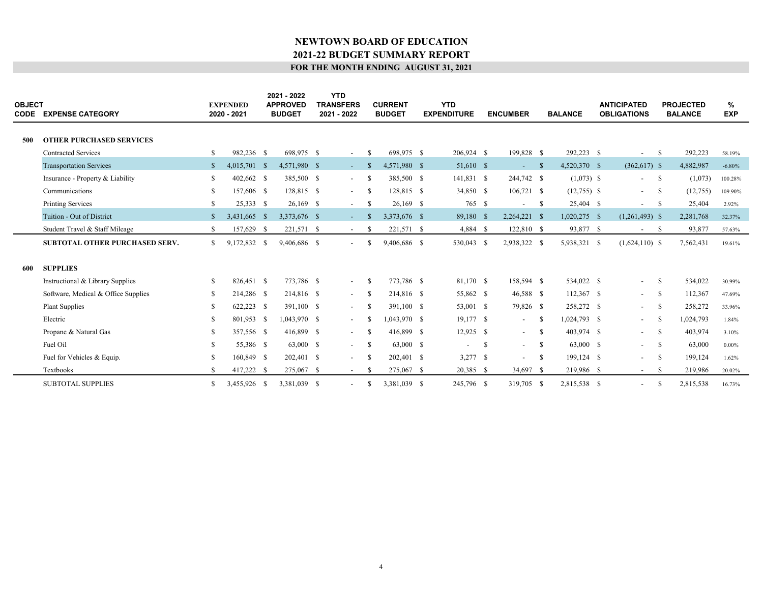| <b>OBJECT</b> | <b>CODE EXPENSE CATEGORY</b>          |              | <b>EXPENDED</b><br>2020 - 2021 | 2021 - 2022<br><b>APPROVED</b><br><b>BUDGET</b> | <b>YTD</b><br><b>TRANSFERS</b><br>2021 - 2022 |               | <b>CURRENT</b><br><b>BUDGET</b> | <b>YTD</b><br><b>EXPENDITURE</b> |    | <b>ENCUMBER</b>          |            | <b>BALANCE</b> | <b>ANTICIPATED</b><br><b>OBLIGATIONS</b> |               | <b>PROJECTED</b><br><b>BALANCE</b> | %<br><b>EXP</b> |  |
|---------------|---------------------------------------|--------------|--------------------------------|-------------------------------------------------|-----------------------------------------------|---------------|---------------------------------|----------------------------------|----|--------------------------|------------|----------------|------------------------------------------|---------------|------------------------------------|-----------------|--|
| 500           | <b>OTHER PURCHASED SERVICES</b>       |              |                                |                                                 |                                               |               |                                 |                                  |    |                          |            |                |                                          |               |                                    |                 |  |
|               | <b>Contracted Services</b>            | \$           | 982,236 \$                     | 698,975 \$                                      | $\sim$                                        | <sup>\$</sup> | 698,975 \$                      | 206,924 \$                       |    | 199,828 \$               |            | 292,223 \$     | $\overline{\phantom{a}}$                 | $\mathbf{s}$  | 292,223                            | 58.19%          |  |
|               | <b>Transportation Services</b>        | $\mathbb{S}$ | 4,015,701 \$                   | 4,571,980 \$                                    | $\sim$ 10 $\pm$                               | -S            | 4,571,980 \$                    | 51,610 \$                        |    | $-$ \$                   |            | 4,520,370 \$   | $(362,617)$ \$                           |               | 4,882,987                          | $-6.80%$        |  |
|               | Insurance - Property & Liability      | \$           | 402,662 \$                     | 385,500 \$                                      | $\sim$                                        | -S            | 385,500 \$                      | 141,831 \$                       |    | 244,742 \$               |            | $(1,073)$ \$   | $\overline{\phantom{a}}$                 | $\mathbf{s}$  | (1,073)                            | 100.28%         |  |
|               | Communications                        | S.           | 157,606 \$                     | 128,815 \$                                      | $\overline{\phantom{a}}$                      | -S            | 128,815 \$                      | 34,850 \$                        |    | $106,721$ \$             |            | $(12,755)$ \$  | $\overline{\phantom{a}}$                 | -S            | (12, 755)                          | 109.90%         |  |
|               | <b>Printing Services</b>              | \$           | 25,333 \$                      | $26,169$ \$                                     | $\sim$                                        | -S            | $26,169$ \$                     | 765 \$                           |    | $\overline{\phantom{a}}$ | - S        | 25,404 \$      | $\sim$                                   | - S           | 25,404                             | 2.92%           |  |
|               | Tuition - Out of District             | $\mathbb{S}$ | 3,431,665 \$                   | 3,373,676 \$                                    | $\mathcal{L}_{\mathcal{A}}$                   | - \$          | 3,373,676 \$                    | 89,180 \$                        |    | $2,264,221$ \$           |            | $1,020,275$ \$ | $(1,261,493)$ \$                         |               | 2,281,768                          | 32.37%          |  |
|               | Student Travel & Staff Mileage        | S.           | 157,629 \$                     | 221,571 \$                                      | $\sim$                                        | -S            | 221,571 \$                      | 4,884 \$                         |    | 122,810 \$               |            | 93,877 \$      | $ \,$                                    | $\mathbf{s}$  | 93,877                             | 57.63%          |  |
|               | <b>SUBTOTAL OTHER PURCHASED SERV.</b> | S.           | 9,172,832 \$                   | 9,406,686 \$                                    | $\overline{\phantom{a}}$                      | <b>S</b>      | 9,406,686 \$                    | 530,043 \$                       |    | 2,938,322 \$             |            | 5,938,321 \$   | $(1,624,110)$ \$                         |               | 7,562,431                          | 19.61%          |  |
|               |                                       |              |                                |                                                 |                                               |               |                                 |                                  |    |                          |            |                |                                          |               |                                    |                 |  |
| 600           | <b>SUPPLIES</b>                       |              |                                |                                                 |                                               |               |                                 |                                  |    |                          |            |                |                                          |               |                                    |                 |  |
|               | Instructional & Library Supplies      | \$           | 826,451 \$                     | 773,786 \$                                      | $\overline{\phantom{a}}$                      | -S            | 773,786 \$                      | 81,170 \$                        |    | 158,594 \$               |            | 534,022 \$     | $\overline{\phantom{0}}$                 | -S            | 534,022                            | 30.99%          |  |
|               | Software, Medical & Office Supplies   | S.           | 214,286 \$                     | 214,816 \$                                      | $\overline{\phantom{a}}$                      | -S            | 214,816 \$                      | 55,862 \$                        |    | 46,588 \$                |            | 112,367 \$     | $\sim$                                   | - S           | 112,367                            | 47.69%          |  |
|               | <b>Plant Supplies</b>                 | S            | 622,223 \$                     | 391,100 \$                                      | $\overline{\phantom{a}}$                      | -S            | 391,100 \$                      | 53,001 \$                        |    | 79,826 \$                |            | 258,272 \$     | $\sim$                                   | -S            | 258,272                            | 33.96%          |  |
|               | Electric                              | S            | 801,953 \$                     | 1,043,970 \$                                    | $\sim$                                        | -8            | 1.043.970 \$                    | $19,177$ \$                      |    | $\sim$                   | -S         | 1,024,793 \$   | $\sim$                                   | -S            | 1,024,793                          | 1.84%           |  |
|               | Propane & Natural Gas                 | \$           | 357,556 \$                     | 416,899 \$                                      | $\overline{\phantom{a}}$                      | -S            | 416,899 \$                      | $12,925$ \$                      |    | $\sim 100$               | - S        | 403,974 \$     | $\sim$                                   | - \$          | 403,974                            | 3.10%           |  |
|               | Fuel Oil                              | S            | 55,386 \$                      | 63,000 \$                                       | $\sim$                                        | -S            | 63,000 \$                       | $\overline{\phantom{a}}$         | -S | $\sim$ $-$               | $^{\circ}$ | 63,000 \$      | $\sim$                                   | - S           | 63,000                             | $0.00\%$        |  |
|               | Fuel for Vehicles & Equip.            | £.           | 160,849 \$                     | 202,401 \$                                      | $\overline{\phantom{a}}$                      | -S            | 202,401 \$                      | $3,277$ \$                       |    | $\overline{\phantom{a}}$ | $^{\circ}$ | 199,124 \$     | $\sim$                                   | $\mathbf{s}$  | 199,124                            | 1.62%           |  |
|               | Textbooks                             | S.           | 417,222 \$                     | 275,067 \$                                      | $\sim$                                        | -8            | 275,067 \$                      | 20,385 \$                        |    | 34,697 \$                |            | 219,986 \$     | $\sim$ $-$                               | -S            | 219,986                            | 20.02%          |  |
|               | <b>SUBTOTAL SUPPLIES</b>              | S.           | 3.455,926 \$                   | 3,381,039 \$                                    | $\overline{a}$                                | -S            | 3.381.039 \$                    | 245,796 \$                       |    | 319,705 \$               |            | 2.815.538 \$   | $\overline{\phantom{0}}$                 | <sup>\$</sup> | 2,815,538                          | 16.73%          |  |